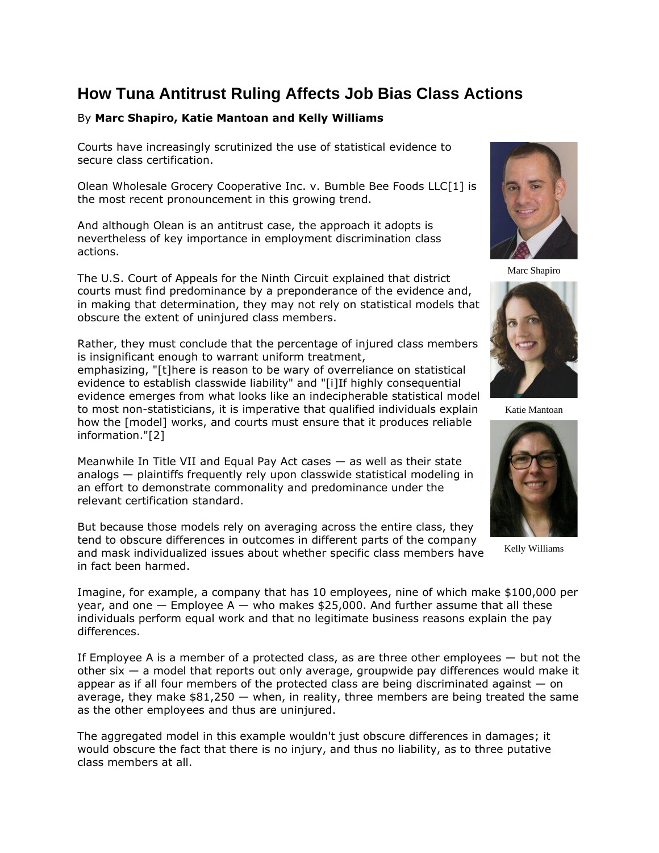## **How Tuna Antitrust Ruling Affects Job Bias Class Actions**

## By **Marc Shapiro, Katie Mantoan and Kelly Williams**

Courts have increasingly scrutinized the use of statistical evidence to secure class certification.

Olean Wholesale Grocery Cooperative Inc. v. [Bumble Bee Foods LLC\[](https://www.law360.com/companies/bumble-bee-foods-llc)1] is the most recent pronouncement in this growing trend.

And although Olean is an antitrust case, the approach it adopts is nevertheless of key importance in employment discrimination class actions.

The [U.S. Court of Appeals for the Ninth Circuit](https://www.law360.com/agencies/u-s-court-of-appeals-for-the-ninth-circuit) explained that district courts must find predominance by a preponderance of the evidence and, in making that determination, they may not rely on statistical models that obscure the extent of uninjured class members.

Rather, they must conclude that the percentage of injured class members is insignificant enough to warrant uniform treatment,

emphasizing, "[t]here is reason to be wary of overreliance on statistical evidence to establish classwide liability" and "[i]If highly consequential evidence emerges from what looks like an indecipherable statistical model to most non-statisticians, it is imperative that qualified individuals explain how the [model] works, and courts must ensure that it produces reliable information."[2]

Meanwhile In Title VII and Equal Pay Act cases — as well as their state analogs — plaintiffs frequently rely upon classwide statistical modeling in an effort to demonstrate commonality and predominance under the relevant certification standard.

But because those models rely on averaging across the entire class, they tend to obscure differences in outcomes in different parts of the company and mask individualized issues about whether specific class members have in fact been harmed.



Marc Shapiro



Katie Mantoan



Kelly Williams

Imagine, for example, a company that has 10 employees, nine of which make \$100,000 per year, and one  $-$  Employee A  $-$  who makes \$25,000. And further assume that all these individuals perform equal work and that no legitimate business reasons explain the pay differences.

If Employee A is a member of a protected class, as are three other employees  $-$  but not the other six — a model that reports out only average, groupwide pay differences would make it appear as if all four members of the protected class are being discriminated against  $-$  on average, they make  $$81,250 - when$ , in reality, three members are being treated the same as the other employees and thus are uninjured.

The aggregated model in this example wouldn't just obscure differences in damages; it would obscure the fact that there is no injury, and thus no liability, as to three putative class members at all.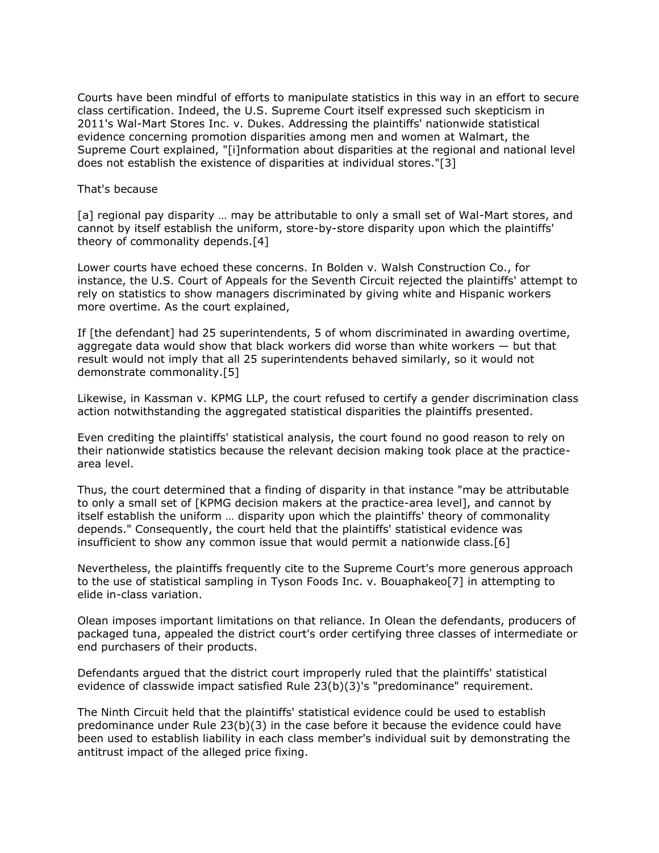Courts have been mindful of efforts to manipulate statistics in this way in an effort to secure class certification. Indeed, the [U.S. Supreme Court](https://www.law360.com/agencies/u-s-supreme-court) itself expressed such skepticism in 2011's [Wal-Mart Stores Inc.](https://www.law360.com/companies/walmart-inc) v. Dukes. Addressing the plaintiffs' nationwide statistical evidence concerning promotion disparities among men and women at Walmart, the Supreme Court explained, "[i]nformation about disparities at the regional and national level does not establish the existence of disparities at individual stores."[3]

## That's because

[a] regional pay disparity ... may be attributable to only a small set of Wal-Mart stores, and cannot by itself establish the uniform, store-by-store disparity upon which the plaintiffs' theory of commonality depends.[4]

Lower courts have echoed these concerns. In Bolden v. Walsh Construction Co., for instance, the [U.S. Court of Appeals for the Seventh Circuit](https://www.law360.com/agencies/u-s-court-of-appeals-for-the-seventh-circuit) rejected the plaintiffs' attempt to rely on statistics to show managers discriminated by giving white and Hispanic workers more overtime. As the court explained,

If [the defendant] had 25 superintendents, 5 of whom discriminated in awarding overtime, aggregate data would show that black workers did worse than white workers  $-$  but that result would not imply that all 25 superintendents behaved similarly, so it would not demonstrate commonality.[5]

Likewise, in Kassman v. [KPMG LLP,](https://www.law360.com/companies/kpmg-international) the court refused to certify a gender discrimination class action notwithstanding the aggregated statistical disparities the plaintiffs presented.

Even crediting the plaintiffs' statistical analysis, the court found no good reason to rely on their nationwide statistics because the relevant decision making took place at the practicearea level.

Thus, the court determined that a finding of disparity in that instance "may be attributable to only a small set of [KPMG decision makers at the practice-area level], and cannot by itself establish the uniform … disparity upon which the plaintiffs' theory of commonality depends." Consequently, the court held that the plaintiffs' statistical evidence was insufficient to show any common issue that would permit a nationwide class.[6]

Nevertheless, the plaintiffs frequently cite to the Supreme Court's more generous approach to the use of statistical sampling in [Tyson Foods Inc.](https://www.law360.com/companies/tyson-foods-inc) v. Bouaphakeo[7] in attempting to elide in-class variation.

Olean imposes important limitations on that reliance. In Olean the defendants, producers of packaged tuna, appealed the district court's order certifying three classes of intermediate or end purchasers of their products.

Defendants argued that the district court improperly ruled that the plaintiffs' statistical evidence of classwide impact satisfied Rule 23(b)(3)'s "predominance" requirement.

The Ninth Circuit held that the plaintiffs' statistical evidence could be used to establish predominance under Rule 23(b)(3) in the case before it because the evidence could have been used to establish liability in each class member's individual suit by demonstrating the antitrust impact of the alleged price fixing.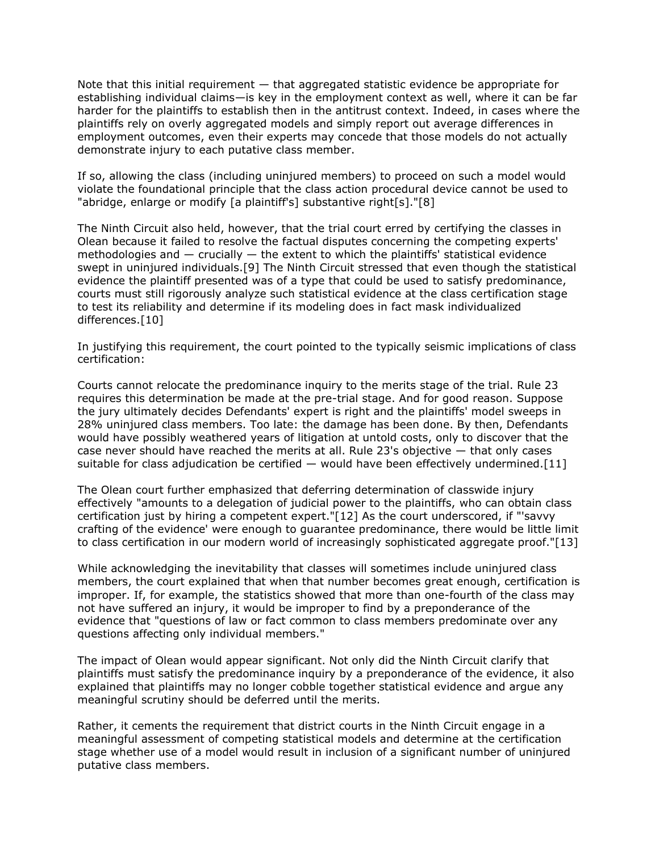Note that this initial requirement  $-$  that aggregated statistic evidence be appropriate for establishing individual claims—is key in the employment context as well, where it can be far harder for the plaintiffs to establish then in the antitrust context. Indeed, in cases where the plaintiffs rely on overly aggregated models and simply report out average differences in employment outcomes, even their experts may concede that those models do not actually demonstrate injury to each putative class member.

If so, allowing the class (including uninjured members) to proceed on such a model would violate the foundational principle that the class action procedural device cannot be used to "abridge, enlarge or modify [a plaintiff's] substantive right[s]."[8]

The Ninth Circuit also held, however, that the trial court erred by certifying the classes in Olean because it failed to resolve the factual disputes concerning the competing experts' methodologies and — crucially — the extent to which the plaintiffs' statistical evidence swept in uninjured individuals.[9] The Ninth Circuit stressed that even though the statistical evidence the plaintiff presented was of a type that could be used to satisfy predominance, courts must still rigorously analyze such statistical evidence at the class certification stage to test its reliability and determine if its modeling does in fact mask individualized differences.[10]

In justifying this requirement, the court pointed to the typically seismic implications of class certification:

Courts cannot relocate the predominance inquiry to the merits stage of the trial. Rule 23 requires this determination be made at the pre-trial stage. And for good reason. Suppose the jury ultimately decides Defendants' expert is right and the plaintiffs' model sweeps in 28% uninjured class members. Too late: the damage has been done. By then, Defendants would have possibly weathered years of litigation at untold costs, only to discover that the case never should have reached the merits at all. Rule 23's objective — that only cases suitable for class adjudication be certified  $-$  would have been effectively undermined. [11]

The Olean court further emphasized that deferring determination of classwide injury effectively "amounts to a delegation of judicial power to the plaintiffs, who can obtain class certification just by hiring a competent expert."[12] As the court underscored, if "'savvy crafting of the evidence' were enough to guarantee predominance, there would be little limit to class certification in our modern world of increasingly sophisticated aggregate proof."[13]

While acknowledging the inevitability that classes will sometimes include uninjured class members, the court explained that when that number becomes great enough, certification is improper. If, for example, the statistics showed that more than one-fourth of the class may not have suffered an injury, it would be improper to find by a preponderance of the evidence that "questions of law or fact common to class members predominate over any questions affecting only individual members."

The impact of Olean would appear significant. Not only did the Ninth Circuit clarify that plaintiffs must satisfy the predominance inquiry by a preponderance of the evidence, it also explained that plaintiffs may no longer cobble together statistical evidence and argue any meaningful scrutiny should be deferred until the merits.

Rather, it cements the requirement that district courts in the Ninth Circuit engage in a meaningful assessment of competing statistical models and determine at the certification stage whether use of a model would result in inclusion of a significant number of uninjured putative class members.